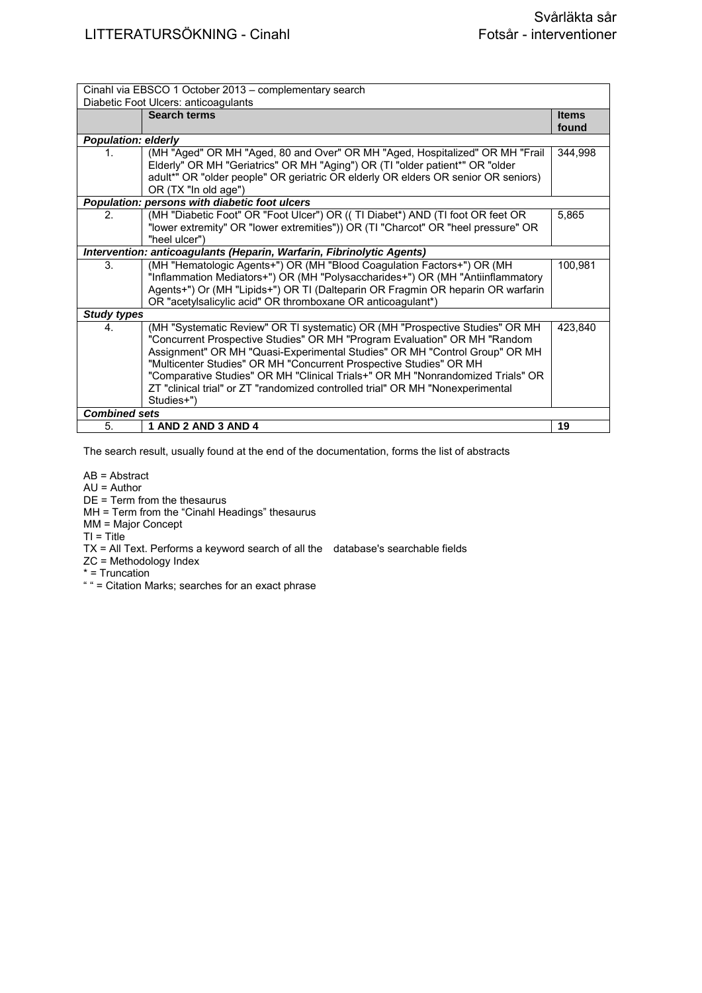| Cinahl via EBSCO 1 October 2013 – complementary search<br>Diabetic Foot Ulcers: anticoagulants |                                                                                                                                                                                                                                                                                                                                                                                                                                                                                                 |                       |
|------------------------------------------------------------------------------------------------|-------------------------------------------------------------------------------------------------------------------------------------------------------------------------------------------------------------------------------------------------------------------------------------------------------------------------------------------------------------------------------------------------------------------------------------------------------------------------------------------------|-----------------------|
|                                                                                                | <b>Search terms</b>                                                                                                                                                                                                                                                                                                                                                                                                                                                                             | <b>Items</b><br>found |
| <b>Population: elderly</b>                                                                     |                                                                                                                                                                                                                                                                                                                                                                                                                                                                                                 |                       |
| 1.                                                                                             | (MH "Aged" OR MH "Aged, 80 and Over" OR MH "Aged, Hospitalized" OR MH "Frail<br>Elderly" OR MH "Geriatrics" OR MH "Aging") OR (TI "older patient*" OR "older<br>adult*" OR "older people" OR geriatric OR elderly OR elders OR senior OR seniors)<br>OR (TX "In old age")                                                                                                                                                                                                                       | 344,998               |
|                                                                                                | Population: persons with diabetic foot ulcers                                                                                                                                                                                                                                                                                                                                                                                                                                                   |                       |
| 2.                                                                                             | (MH "Diabetic Foot" OR "Foot Ulcer") OR ((TI Diabet*) AND (TI foot OR feet OR<br>"lower extremity" OR "lower extremities")) OR (TI "Charcot" OR "heel pressure" OR<br>"heel ulcer")                                                                                                                                                                                                                                                                                                             | 5.865                 |
|                                                                                                | Intervention: anticoagulants (Heparin, Warfarin, Fibrinolytic Agents)                                                                                                                                                                                                                                                                                                                                                                                                                           |                       |
| 3.                                                                                             | (MH "Hematologic Agents+") OR (MH "Blood Coagulation Factors+") OR (MH<br>"Inflammation Mediators+") OR (MH "Polysaccharides+") OR (MH "Antiinflammatory<br>Agents+") Or (MH "Lipids+") OR TI (Dalteparin OR Fragmin OR heparin OR warfarin<br>OR "acetylsalicylic acid" OR thromboxane OR anticoagulant*)                                                                                                                                                                                      | 100,981               |
| <b>Study types</b>                                                                             |                                                                                                                                                                                                                                                                                                                                                                                                                                                                                                 |                       |
| 4.                                                                                             | (MH "Systematic Review" OR TI systematic) OR (MH "Prospective Studies" OR MH<br>"Concurrent Prospective Studies" OR MH "Program Evaluation" OR MH "Random<br>Assignment" OR MH "Quasi-Experimental Studies" OR MH "Control Group" OR MH<br>"Multicenter Studies" OR MH "Concurrent Prospective Studies" OR MH<br>"Comparative Studies" OR MH "Clinical Trials+" OR MH "Nonrandomized Trials" OR<br>ZT "clinical trial" or ZT "randomized controlled trial" OR MH "Nonexperimental<br>Studies+") | 423.840               |
| <b>Combined sets</b>                                                                           |                                                                                                                                                                                                                                                                                                                                                                                                                                                                                                 |                       |
| 5.                                                                                             | 1 AND 2 AND 3 AND 4                                                                                                                                                                                                                                                                                                                                                                                                                                                                             | 19                    |

AB = Abstract

AU = Author

DE = Term from the thesaurus

MH = Term from the "Cinahl Headings" thesaurus

MM = Major Concept

 $TI = Title$ 

TX = All Text. Performs a keyword search of all the database's searchable fields

ZC = Methodology Index

\* = Truncation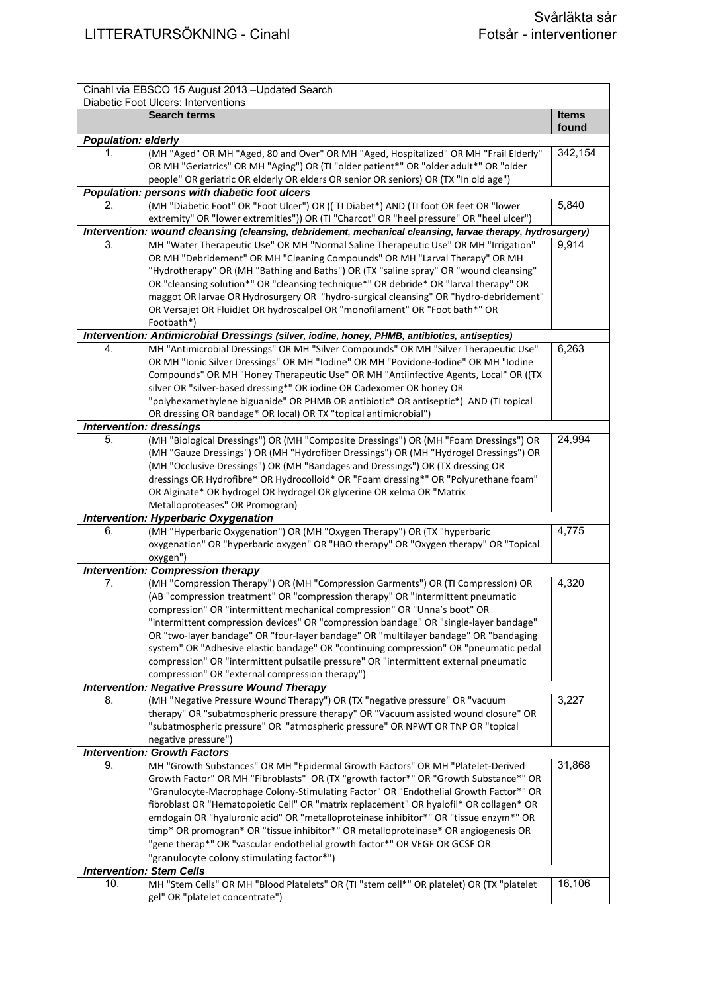| Cinahl via EBSCO 15 August 2013 - Updated Search<br>Diabetic Foot Ulcers: Interventions |                                                                                                                                                                                |              |
|-----------------------------------------------------------------------------------------|--------------------------------------------------------------------------------------------------------------------------------------------------------------------------------|--------------|
|                                                                                         | <b>Search terms</b>                                                                                                                                                            | <b>Items</b> |
|                                                                                         |                                                                                                                                                                                | found        |
| <b>Population: elderly</b>                                                              |                                                                                                                                                                                |              |
| 1.                                                                                      | (MH "Aged" OR MH "Aged, 80 and Over" OR MH "Aged, Hospitalized" OR MH "Frail Elderly"                                                                                          | 342,154      |
|                                                                                         | OR MH "Geriatrics" OR MH "Aging") OR (TI "older patient*" OR "older adult*" OR "older<br>people" OR geriatric OR elderly OR elders OR senior OR seniors) OR (TX "In old age")  |              |
|                                                                                         | Population: persons with diabetic foot ulcers                                                                                                                                  |              |
| 2.                                                                                      | (MH "Diabetic Foot" OR "Foot Ulcer") OR ((TI Diabet*) AND (TI foot OR feet OR "lower                                                                                           | 5,840        |
|                                                                                         | extremity" OR "lower extremities")) OR (TI "Charcot" OR "heel pressure" OR "heel ulcer")                                                                                       |              |
|                                                                                         | Intervention: wound cleansing (cleansing, debridement, mechanical cleansing, larvae therapy, hydrosurgery)                                                                     |              |
| 3.                                                                                      | MH "Water Therapeutic Use" OR MH "Normal Saline Therapeutic Use" OR MH "Irrigation"                                                                                            | 9,914        |
|                                                                                         | OR MH "Debridement" OR MH "Cleaning Compounds" OR MH "Larval Therapy" OR MH                                                                                                    |              |
|                                                                                         | "Hydrotherapy" OR (MH "Bathing and Baths") OR (TX "saline spray" OR "wound cleansing"                                                                                          |              |
|                                                                                         | OR "cleansing solution*" OR "cleansing technique*" OR debride* OR "larval therapy" OR<br>maggot OR larvae OR Hydrosurgery OR "hydro-surgical cleansing" OR "hydro-debridement" |              |
|                                                                                         | OR Versajet OR FluidJet OR hydroscalpel OR "monofilament" OR "Foot bath*" OR                                                                                                   |              |
|                                                                                         | Footbath*)                                                                                                                                                                     |              |
|                                                                                         | Intervention: Antimicrobial Dressings (silver, iodine, honey, PHMB, antibiotics, antiseptics)                                                                                  |              |
| 4.                                                                                      | MH "Antimicrobial Dressings" OR MH "Silver Compounds" OR MH "Silver Therapeutic Use"                                                                                           | 6,263        |
|                                                                                         | OR MH "Ionic Silver Dressings" OR MH "Iodine" OR MH "Povidone-Iodine" OR MH "Iodine                                                                                            |              |
|                                                                                         | Compounds" OR MH "Honey Therapeutic Use" OR MH "Antiinfective Agents, Local" OR ((TX                                                                                           |              |
|                                                                                         | silver OR "silver-based dressing*" OR iodine OR Cadexomer OR honey OR<br>"polyhexamethylene biguanide" OR PHMB OR antibiotic* OR antiseptic*) AND (TI topical                  |              |
|                                                                                         | OR dressing OR bandage* OR local) OR TX "topical antimicrobial")                                                                                                               |              |
|                                                                                         | <b>Intervention: dressings</b>                                                                                                                                                 |              |
| 5.                                                                                      | (MH "Biological Dressings") OR (MH "Composite Dressings") OR (MH "Foam Dressings") OR                                                                                          | 24,994       |
|                                                                                         | (MH "Gauze Dressings") OR (MH "Hydrofiber Dressings") OR (MH "Hydrogel Dressings") OR                                                                                          |              |
|                                                                                         | (MH "Occlusive Dressings") OR (MH "Bandages and Dressings") OR (TX dressing OR                                                                                                 |              |
|                                                                                         | dressings OR Hydrofibre* OR Hydrocolloid* OR "Foam dressing*" OR "Polyurethane foam"                                                                                           |              |
|                                                                                         | OR Alginate* OR hydrogel OR hydrogel OR glycerine OR xelma OR "Matrix                                                                                                          |              |
|                                                                                         | Metalloproteases" OR Promogran)                                                                                                                                                |              |
| 6.                                                                                      | <b>Intervention: Hyperbaric Oxygenation</b><br>(MH "Hyperbaric Oxygenation") OR (MH "Oxygen Therapy") OR (TX "hyperbaric                                                       | 4,775        |
|                                                                                         | oxygenation" OR "hyperbaric oxygen" OR "HBO therapy" OR "Oxygen therapy" OR "Topical                                                                                           |              |
|                                                                                         | oxygen")                                                                                                                                                                       |              |
|                                                                                         | <b>Intervention: Compression therapy</b>                                                                                                                                       |              |
| 7.                                                                                      | (MH "Compression Therapy") OR (MH "Compression Garments") OR (TI Compression) OR                                                                                               | 4,320        |
|                                                                                         | (AB "compression treatment" OR "compression therapy" OR "Intermittent pneumatic                                                                                                |              |
|                                                                                         | compression" OR "intermittent mechanical compression" OR "Unna's boot" OR                                                                                                      |              |
|                                                                                         | "intermittent compression devices" OR "compression bandage" OR "single-layer bandage"<br>OR "two-layer bandage" OR "four-layer bandage" OR "multilayer bandage" OR "bandaging  |              |
|                                                                                         | system" OR "Adhesive elastic bandage" OR "continuing compression" OR "pneumatic pedal                                                                                          |              |
|                                                                                         | compression" OR "intermittent pulsatile pressure" OR "intermittent external pneumatic                                                                                          |              |
|                                                                                         | compression" OR "external compression therapy")                                                                                                                                |              |
|                                                                                         | <b>Intervention: Negative Pressure Wound Therapy</b>                                                                                                                           |              |
| 8.                                                                                      | (MH "Negative Pressure Wound Therapy") OR (TX "negative pressure" OR "vacuum                                                                                                   | 3,227        |
|                                                                                         | therapy" OR "subatmospheric pressure therapy" OR "Vacuum assisted wound closure" OR                                                                                            |              |
|                                                                                         | "subatmospheric pressure" OR "atmospheric pressure" OR NPWT OR TNP OR "topical<br>negative pressure")                                                                          |              |
|                                                                                         | <b>Intervention: Growth Factors</b>                                                                                                                                            |              |
| 9.                                                                                      | MH "Growth Substances" OR MH "Epidermal Growth Factors" OR MH "Platelet-Derived                                                                                                | 31,868       |
|                                                                                         | Growth Factor" OR MH "Fibroblasts" OR (TX "growth factor*" OR "Growth Substance*" OR                                                                                           |              |
|                                                                                         | "Granulocyte-Macrophage Colony-Stimulating Factor" OR "Endothelial Growth Factor*" OR                                                                                          |              |
|                                                                                         | fibroblast OR "Hematopoietic Cell" OR "matrix replacement" OR hyalofil* OR collagen* OR                                                                                        |              |
|                                                                                         | emdogain OR "hyaluronic acid" OR "metalloproteinase inhibitor*" OR "tissue enzym*" OR                                                                                          |              |
|                                                                                         | timp* OR promogran* OR "tissue inhibitor*" OR metalloproteinase* OR angiogenesis OR                                                                                            |              |
|                                                                                         | "gene therap*" OR "vascular endothelial growth factor*" OR VEGF OR GCSF OR<br>"granulocyte colony stimulating factor*")                                                        |              |
|                                                                                         | <b>Intervention: Stem Cells</b>                                                                                                                                                |              |
| 10.                                                                                     | MH "Stem Cells" OR MH "Blood Platelets" OR (TI "stem cell*" OR platelet) OR (TX "platelet                                                                                      | 16,106       |
|                                                                                         | gel" OR "platelet concentrate")                                                                                                                                                |              |
|                                                                                         |                                                                                                                                                                                |              |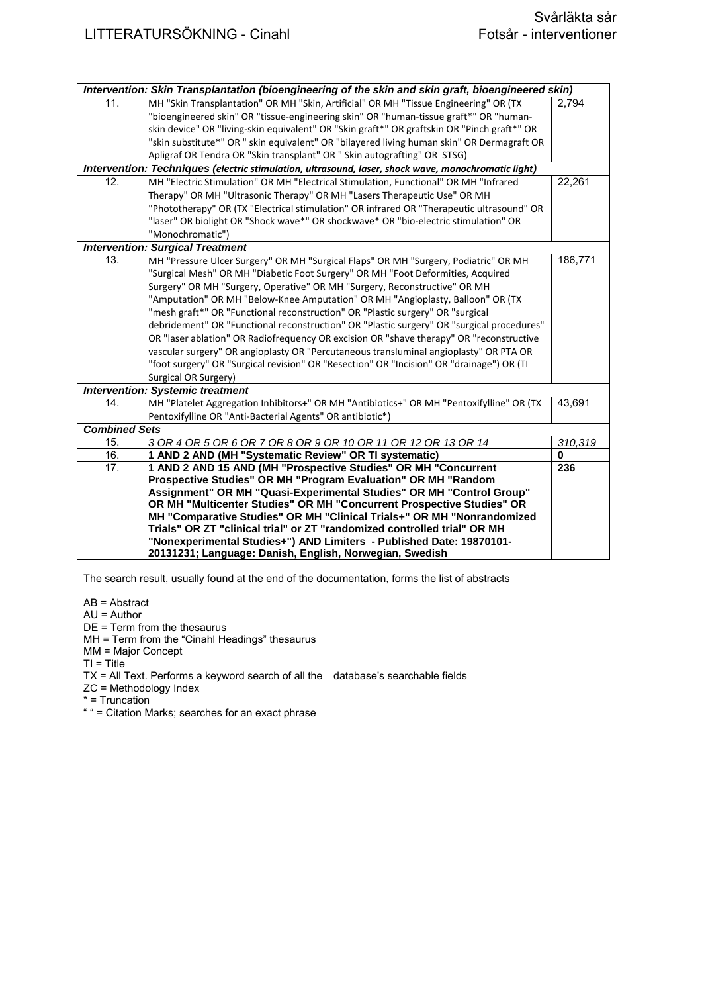|                      | Intervention: Skin Transplantation (bioengineering of the skin and skin graft, bioengineered skin)  |          |
|----------------------|-----------------------------------------------------------------------------------------------------|----------|
| 11.                  | MH "Skin Transplantation" OR MH "Skin, Artificial" OR MH "Tissue Engineering" OR (TX                | 2,794    |
|                      | "bioengineered skin" OR "tissue-engineering skin" OR "human-tissue graft*" OR "human-               |          |
|                      | skin device" OR "living-skin equivalent" OR "Skin graft*" OR graftskin OR "Pinch graft*" OR         |          |
|                      | "skin substitute*" OR " skin equivalent" OR "bilayered living human skin" OR Dermagraft OR          |          |
|                      | Apligraf OR Tendra OR "Skin transplant" OR " Skin autografting" OR STSG)                            |          |
|                      | Intervention: Techniques (electric stimulation, ultrasound, laser, shock wave, monochromatic light) |          |
| 12.                  | MH "Electric Stimulation" OR MH "Electrical Stimulation, Functional" OR MH "Infrared                | 22,261   |
|                      | Therapy" OR MH "Ultrasonic Therapy" OR MH "Lasers Therapeutic Use" OR MH                            |          |
|                      | "Phototherapy" OR (TX "Electrical stimulation" OR infrared OR "Therapeutic ultrasound" OR           |          |
|                      | "laser" OR biolight OR "Shock wave*" OR shockwave* OR "bio-electric stimulation" OR                 |          |
|                      | "Monochromatic")                                                                                    |          |
|                      | <b>Intervention: Surgical Treatment</b>                                                             |          |
| 13.                  | MH "Pressure Ulcer Surgery" OR MH "Surgical Flaps" OR MH "Surgery, Podiatric" OR MH                 | 186,771  |
|                      | "Surgical Mesh" OR MH "Diabetic Foot Surgery" OR MH "Foot Deformities, Acquired                     |          |
|                      | Surgery" OR MH "Surgery, Operative" OR MH "Surgery, Reconstructive" OR MH                           |          |
|                      | "Amputation" OR MH "Below-Knee Amputation" OR MH "Angioplasty, Balloon" OR (TX                      |          |
|                      | "mesh graft*" OR "Functional reconstruction" OR "Plastic surgery" OR "surgical                      |          |
|                      | debridement" OR "Functional reconstruction" OR "Plastic surgery" OR "surgical procedures"           |          |
|                      | OR "laser ablation" OR Radiofrequency OR excision OR "shave therapy" OR "reconstructive             |          |
|                      | vascular surgery" OR angioplasty OR "Percutaneous transluminal angioplasty" OR PTA OR               |          |
|                      | "foot surgery" OR "Surgical revision" OR "Resection" OR "Incision" OR "drainage") OR (TI            |          |
|                      | Surgical OR Surgery)                                                                                |          |
|                      | <b>Intervention: Systemic treatment</b>                                                             |          |
| 14.                  | MH "Platelet Aggregation Inhibitors+" OR MH "Antibiotics+" OR MH "Pentoxifylline" OR (TX            | 43,691   |
|                      | Pentoxifylline OR "Anti-Bacterial Agents" OR antibiotic*)                                           |          |
| <b>Combined Sets</b> |                                                                                                     |          |
| 15.                  | 3 OR 4 OR 5 OR 6 OR 7 OR 8 OR 9 OR 10 OR 11 OR 12 OR 13 OR 14                                       | 310,319  |
| 16.                  | 1 AND 2 AND (MH "Systematic Review" OR TI systematic)                                               | $\bf{0}$ |
| 17.                  | 1 AND 2 AND 15 AND (MH "Prospective Studies" OR MH "Concurrent                                      | 236      |
|                      | Prospective Studies" OR MH "Program Evaluation" OR MH "Random                                       |          |
|                      | Assignment" OR MH "Quasi-Experimental Studies" OR MH "Control Group"                                |          |
|                      | OR MH "Multicenter Studies" OR MH "Concurrent Prospective Studies" OR                               |          |
|                      | MH "Comparative Studies" OR MH "Clinical Trials+" OR MH "Nonrandomized                              |          |
|                      | Trials" OR ZT "clinical trial" or ZT "randomized controlled trial" OR MH                            |          |
|                      | "Nonexperimental Studies+") AND Limiters - Published Date: 19870101-                                |          |
|                      | 20131231; Language: Danish, English, Norwegian, Swedish                                             |          |

AB = Abstract

AU = Author

- DE = Term from the thesaurus
- MH = Term from the "Cinahl Headings" thesaurus
- MM = Major Concept

TI = Title

TX = All Text. Performs a keyword search of all the database's searchable fields

- ZC = Methodology Index
- \* = Truncation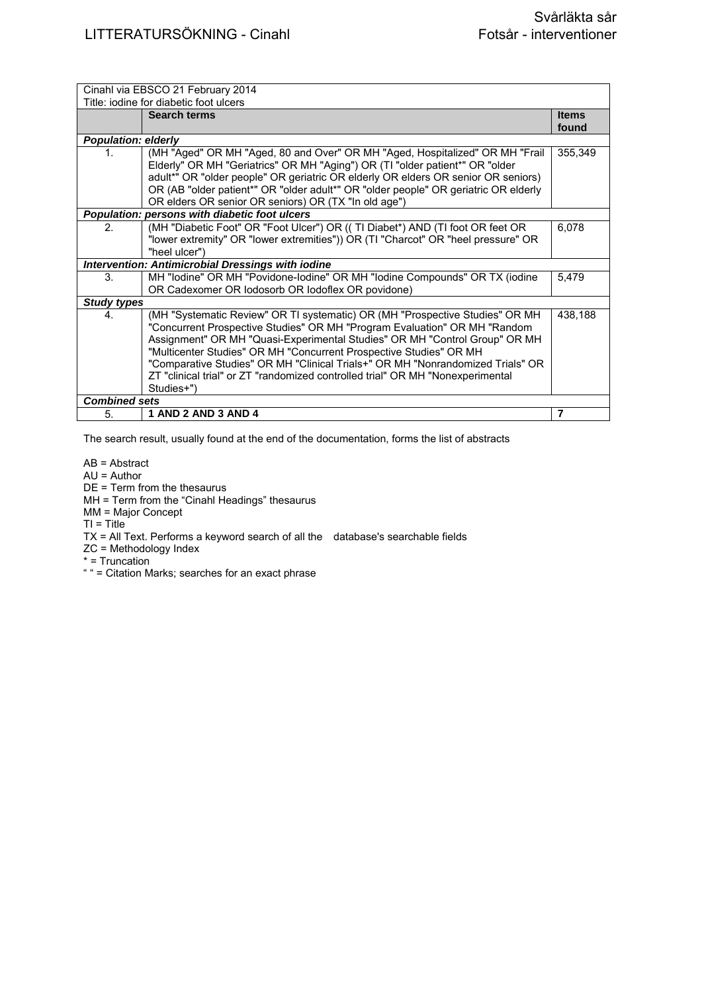|                            | Cinahl via EBSCO 21 February 2014                                                                                                                                                                                                                                                                                                                                                                                                                                                               |                       |
|----------------------------|-------------------------------------------------------------------------------------------------------------------------------------------------------------------------------------------------------------------------------------------------------------------------------------------------------------------------------------------------------------------------------------------------------------------------------------------------------------------------------------------------|-----------------------|
|                            | Title: jodine for diabetic foot ulcers                                                                                                                                                                                                                                                                                                                                                                                                                                                          |                       |
|                            | <b>Search terms</b>                                                                                                                                                                                                                                                                                                                                                                                                                                                                             | <b>Items</b><br>found |
| <b>Population: elderly</b> |                                                                                                                                                                                                                                                                                                                                                                                                                                                                                                 |                       |
| 1.                         | (MH "Aged" OR MH "Aged, 80 and Over" OR MH "Aged, Hospitalized" OR MH "Frail<br>Elderly" OR MH "Geriatrics" OR MH "Aging") OR (TI "older patient*" OR "older<br>adult*" OR "older people" OR geriatric OR elderly OR elders OR senior OR seniors)<br>OR (AB "older patient*" OR "older adult*" OR "older people" OR geriatric OR elderly<br>OR elders OR senior OR seniors) OR (TX "In old age")                                                                                                | 355,349               |
|                            | Population: persons with diabetic foot ulcers                                                                                                                                                                                                                                                                                                                                                                                                                                                   |                       |
| 2.                         | (MH "Diabetic Foot" OR "Foot Ulcer") OR (( TI Diabet*) AND (TI foot OR feet OR<br>"lower extremity" OR "lower extremities")) OR (TI "Charcot" OR "heel pressure" OR<br>"heel ulcer")                                                                                                                                                                                                                                                                                                            | 6,078                 |
|                            | <b>Intervention: Antimicrobial Dressings with iodine</b>                                                                                                                                                                                                                                                                                                                                                                                                                                        |                       |
| 3.                         | MH "lodine" OR MH "Povidone-lodine" OR MH "lodine Compounds" OR TX (iodine<br>OR Cadexomer OR lodosorb OR lodoflex OR povidone)                                                                                                                                                                                                                                                                                                                                                                 | 5.479                 |
| <b>Study types</b>         |                                                                                                                                                                                                                                                                                                                                                                                                                                                                                                 |                       |
| 4.                         | (MH "Systematic Review" OR TI systematic) OR (MH "Prospective Studies" OR MH<br>"Concurrent Prospective Studies" OR MH "Program Evaluation" OR MH "Random<br>Assignment" OR MH "Quasi-Experimental Studies" OR MH "Control Group" OR MH<br>"Multicenter Studies" OR MH "Concurrent Prospective Studies" OR MH<br>"Comparative Studies" OR MH "Clinical Trials+" OR MH "Nonrandomized Trials" OR<br>ZT "clinical trial" or ZT "randomized controlled trial" OR MH "Nonexperimental<br>Studies+") | 438,188               |
| <b>Combined sets</b>       |                                                                                                                                                                                                                                                                                                                                                                                                                                                                                                 |                       |
| 5.                         | 1 AND 2 AND 3 AND 4                                                                                                                                                                                                                                                                                                                                                                                                                                                                             | 7                     |

AB = Abstract

AU = Author

DE = Term from the thesaurus

MH = Term from the "Cinahl Headings" thesaurus

MM = Major Concept

 $TI = Title$ 

TX = All Text. Performs a keyword search of all the database's searchable fields

ZC = Methodology Index

\* = Truncation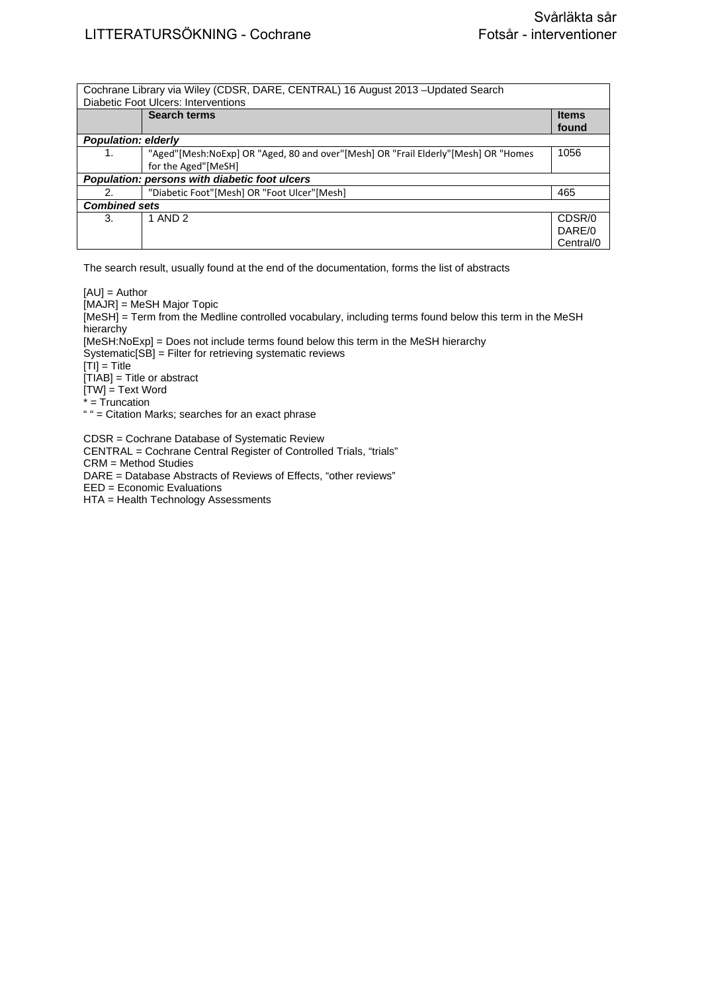|                            | Cochrane Library via Wiley (CDSR, DARE, CENTRAL) 16 August 2013 – Updated Search<br>Diabetic Foot Ulcers: Interventions |                       |
|----------------------------|-------------------------------------------------------------------------------------------------------------------------|-----------------------|
|                            | <b>Search terms</b>                                                                                                     | <b>Items</b><br>found |
| <b>Population: elderly</b> |                                                                                                                         |                       |
| 1.                         | "Aged"[Mesh:NoExp] OR "Aged, 80 and over"[Mesh] OR "Frail Elderly"[Mesh] OR "Homes                                      | 1056                  |
|                            | for the Aged"[MeSH]                                                                                                     |                       |
|                            | Population: persons with diabetic foot ulcers                                                                           |                       |
| 2.                         | "Diabetic Foot"[Mesh] OR "Foot Ulcer"[Mesh]                                                                             | 465                   |
| <b>Combined sets</b>       |                                                                                                                         |                       |
| 3.                         | 1 AND 2                                                                                                                 | CDSR/0                |
|                            |                                                                                                                         | DARE/0                |
|                            |                                                                                                                         | Central/0             |

 $[AU] =$  Author [MAJR] = MeSH Major Topic [MeSH] = Term from the Medline controlled vocabulary, including terms found below this term in the MeSH hierarchy [MeSH:NoExp] = Does not include terms found below this term in the MeSH hierarchy Systematic[SB] = Filter for retrieving systematic reviews [TI] = Title [TIAB] = Title or abstract  $[TW]$  = Text Word  $\dot{r}$  = Truncation " " = Citation Marks; searches for an exact phrase

CDSR = Cochrane Database of Systematic Review CENTRAL = Cochrane Central Register of Controlled Trials, "trials" CRM = Method Studies DARE = Database Abstracts of Reviews of Effects, "other reviews" EED = Economic Evaluations HTA = Health Technology Assessments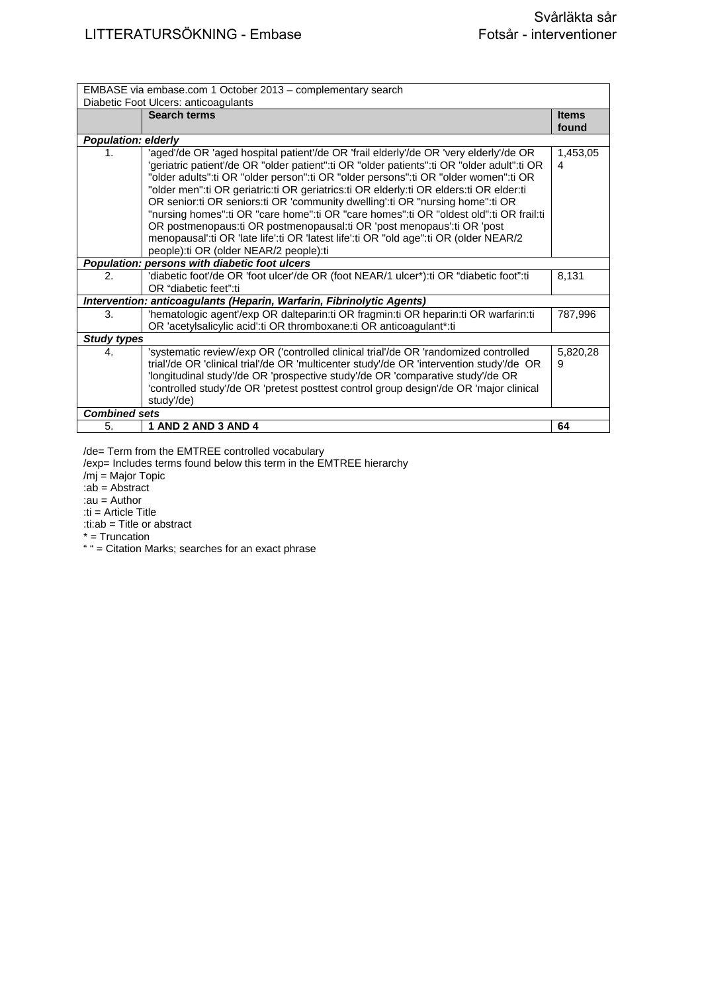| EMBASE via embase.com 1 October 2013 - complementary search |                                                                                                                                                                                                                                                                                                                                                                                                                                                                                                                                                                                                                                                                                                                                                                   |                       |
|-------------------------------------------------------------|-------------------------------------------------------------------------------------------------------------------------------------------------------------------------------------------------------------------------------------------------------------------------------------------------------------------------------------------------------------------------------------------------------------------------------------------------------------------------------------------------------------------------------------------------------------------------------------------------------------------------------------------------------------------------------------------------------------------------------------------------------------------|-----------------------|
|                                                             | Diabetic Foot Ulcers: anticoagulants                                                                                                                                                                                                                                                                                                                                                                                                                                                                                                                                                                                                                                                                                                                              |                       |
|                                                             | <b>Search terms</b>                                                                                                                                                                                                                                                                                                                                                                                                                                                                                                                                                                                                                                                                                                                                               | <b>Items</b><br>found |
| <b>Population: elderly</b>                                  |                                                                                                                                                                                                                                                                                                                                                                                                                                                                                                                                                                                                                                                                                                                                                                   |                       |
| 1.                                                          | 'aged'/de OR 'aged hospital patient'/de OR 'frail elderly'/de OR 'very elderly'/de OR<br>'geriatric patient'/de OR "older patient":ti OR "older patients":ti OR "older adult":ti OR<br>"older adults":ti OR "older person":ti OR "older persons":ti OR "older women":ti OR<br>"older men":ti OR geriatric:ti OR geriatrics:ti OR elderly:ti OR elders:ti OR elder:ti<br>OR senior:ti OR seniors:ti OR 'community dwelling':ti OR "nursing home":ti OR<br>"nursing homes":ti OR "care home":ti OR "care homes":ti OR "oldest old":ti OR frail:ti<br>OR postmenopaus: ti OR postmenopausal: ti OR 'post menopaus': ti OR 'post<br>menopausal':ti OR 'late life':ti OR 'latest life':ti OR "old age":ti OR (older NEAR/2<br>people): ti OR (older NEAR/2 people): ti | 1,453,05<br>4         |
|                                                             | Population: persons with diabetic foot ulcers                                                                                                                                                                                                                                                                                                                                                                                                                                                                                                                                                                                                                                                                                                                     |                       |
| $\mathcal{P}_{\cdot}$                                       | 'diabetic foot'/de OR 'foot ulcer'/de OR (foot NEAR/1 ulcer*):ti OR "diabetic foot":ti<br>OR "diabetic feet":ti                                                                                                                                                                                                                                                                                                                                                                                                                                                                                                                                                                                                                                                   | 8,131                 |
|                                                             | Intervention: anticoagulants (Heparin, Warfarin, Fibrinolytic Agents)                                                                                                                                                                                                                                                                                                                                                                                                                                                                                                                                                                                                                                                                                             |                       |
| 3.                                                          | 'hematologic agent'/exp OR dalteparin:ti OR fragmin:ti OR heparin:ti OR warfarin:ti<br>OR 'acetylsalicylic acid':ti OR thromboxane:ti OR anticoagulant*:ti                                                                                                                                                                                                                                                                                                                                                                                                                                                                                                                                                                                                        | 787,996               |
| <b>Study types</b>                                          |                                                                                                                                                                                                                                                                                                                                                                                                                                                                                                                                                                                                                                                                                                                                                                   |                       |
| $\mathbf{4}$                                                | 'systematic review'/exp OR ('controlled clinical trial'/de OR 'randomized controlled<br>trial'/de OR 'clinical trial'/de OR 'multicenter study'/de OR 'intervention study'/de OR<br>'longitudinal study'/de OR 'prospective study'/de OR 'comparative study'/de OR<br>'controlled study'/de OR 'pretest posttest control group design'/de OR 'major clinical<br>study'/de)                                                                                                                                                                                                                                                                                                                                                                                        | 5,820,28<br>9         |
| <b>Combined sets</b>                                        |                                                                                                                                                                                                                                                                                                                                                                                                                                                                                                                                                                                                                                                                                                                                                                   |                       |
| 5.                                                          | 1 AND 2 AND 3 AND 4                                                                                                                                                                                                                                                                                                                                                                                                                                                                                                                                                                                                                                                                                                                                               | 64                    |

/de= Term from the EMTREE controlled vocabulary

/exp= Includes terms found below this term in the EMTREE hierarchy

/mj = Major Topic :ab = Abstract

:au = Author

:ti = Article Title :ti:ab = Title or abstract

\* = Truncation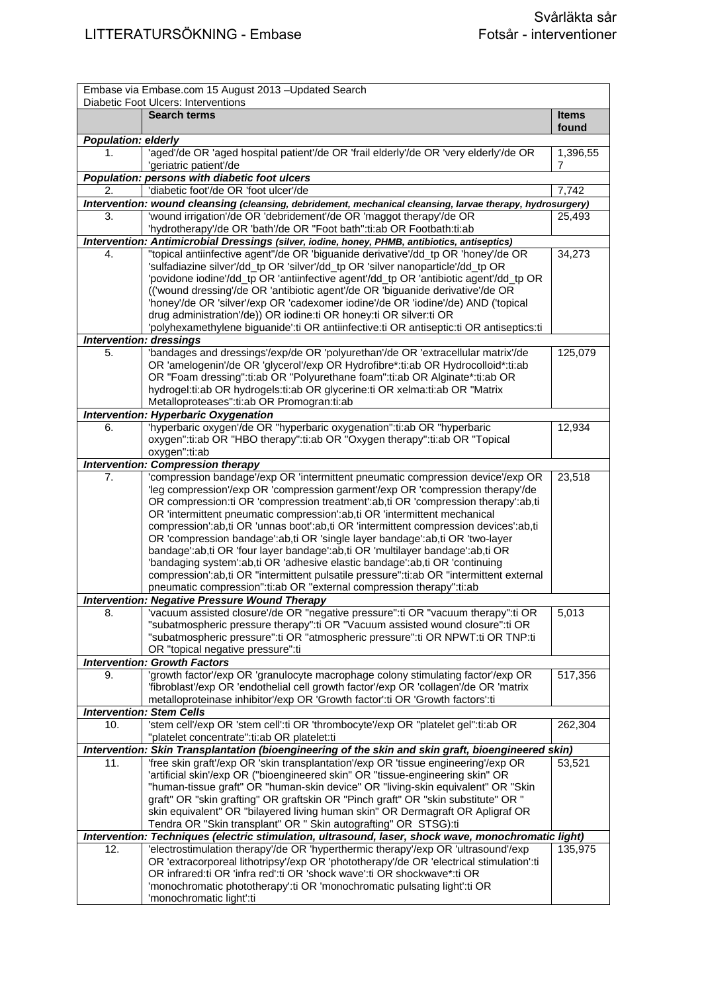|                            | Embase via Embase.com 15 August 2013 - Updated Search                                                                                                                                    |               |
|----------------------------|------------------------------------------------------------------------------------------------------------------------------------------------------------------------------------------|---------------|
|                            | Diabetic Foot Ulcers: Interventions<br><b>Search terms</b>                                                                                                                               | <b>Items</b>  |
|                            |                                                                                                                                                                                          | found         |
| <b>Population: elderly</b> |                                                                                                                                                                                          |               |
| 1.                         | 'aged'/de OR 'aged hospital patient'/de OR 'frail elderly'/de OR 'very elderly'/de OR<br>'geriatric patient'/de                                                                          | 1,396,55<br>7 |
|                            | Population: persons with diabetic foot ulcers                                                                                                                                            |               |
| 2.                         | 'diabetic foot'/de OR 'foot ulcer'/de                                                                                                                                                    | 7,742         |
|                            | Intervention: wound cleansing (cleansing, debridement, mechanical cleansing, larvae therapy, hydrosurgery)                                                                               |               |
| 3.                         | 'wound irrigation'/de OR 'debridement'/de OR 'maggot therapy'/de OR<br>'hydrotherapy'/de OR 'bath'/de OR "Foot bath":ti:ab OR Footbath:ti:ab                                             | 25,493        |
|                            | Intervention: Antimicrobial Dressings (silver, iodine, honey, PHMB, antibiotics, antiseptics)                                                                                            |               |
| 4.                         | "topical antiinfective agent"/de OR 'biguanide derivative'/dd_tp OR 'honey'/de OR                                                                                                        | 34,273        |
|                            | 'sulfadiazine silver'/dd_tp OR 'silver'/dd_tp OR 'silver nanoparticle'/dd_tp OR                                                                                                          |               |
|                            | 'povidone iodine'/dd_tp OR 'antiinfective agent'/dd_tp OR 'antibiotic agent'/dd_tp OR                                                                                                    |               |
|                            | (('wound dressing'/de OR 'antibiotic agent'/de OR 'biguanide derivative'/de OR                                                                                                           |               |
|                            | 'honey'/de OR 'silver'/exp OR 'cadexomer iodine'/de OR 'iodine'/de) AND ('topical                                                                                                        |               |
|                            | drug administration'/de)) OR iodine:ti OR honey:ti OR silver:ti OR                                                                                                                       |               |
|                            | 'polyhexamethylene biguanide':ti OR antiinfective:ti OR antiseptic:ti OR antiseptics:ti<br><b>Intervention: dressings</b>                                                                |               |
| 5.                         | 'bandages and dressings'/exp/de OR 'polyurethan'/de OR 'extracellular matrix'/de                                                                                                         | 125,079       |
|                            | OR 'amelogenin'/de OR 'glycerol'/exp OR Hydrofibre*:ti:ab OR Hydrocolloid*:ti:ab                                                                                                         |               |
|                            | OR "Foam dressing":ti:ab OR "Polyurethane foam":ti:ab OR Alginate*:ti:ab OR                                                                                                              |               |
|                            | hydrogel:ti:ab OR hydrogels:ti:ab OR glycerine:ti OR xelma:ti:ab OR "Matrix                                                                                                              |               |
|                            | Metalloproteases":ti:ab OR Promogran:ti:ab                                                                                                                                               |               |
|                            | <b>Intervention: Hyperbaric Oxygenation</b>                                                                                                                                              |               |
| 6.                         | 'hyperbaric oxygen'/de OR "hyperbaric oxygenation":ti:ab OR "hyperbaric                                                                                                                  | 12,934        |
|                            | oxygen":ti:ab OR "HBO therapy":ti:ab OR "Oxygen therapy":ti:ab OR "Topical                                                                                                               |               |
|                            | oxygen":ti:ab                                                                                                                                                                            |               |
|                            | <b>Intervention: Compression therapy</b>                                                                                                                                                 |               |
| 7.                         | 'compression bandage'/exp OR 'intermittent pneumatic compression device'/exp OR                                                                                                          | 23,518        |
|                            | 'leg compression'/exp OR 'compression garment'/exp OR 'compression therapy'/de<br>OR compression:ti OR 'compression treatment':ab,ti OR 'compression therapy':ab,ti                      |               |
|                            | OR 'intermittent pneumatic compression':ab,ti OR 'intermittent mechanical                                                                                                                |               |
|                            | compression':ab,ti OR 'unnas boot':ab,ti OR 'intermittent compression devices':ab,ti                                                                                                     |               |
|                            | OR 'compression bandage':ab,ti OR 'single layer bandage':ab,ti OR 'two-layer                                                                                                             |               |
|                            | bandage':ab,ti OR 'four layer bandage':ab,ti OR 'multilayer bandage':ab,ti OR                                                                                                            |               |
|                            | 'bandaging system':ab,ti OR 'adhesive elastic bandage':ab,ti OR 'continuing                                                                                                              |               |
|                            | compression':ab,ti OR "intermittent pulsatile pressure":ti:ab OR "intermittent external                                                                                                  |               |
|                            | pneumatic compression":ti:ab OR "external compression therapy":ti:ab                                                                                                                     |               |
|                            | <b>Intervention: Negative Pressure Wound Therapy</b>                                                                                                                                     |               |
| 8.                         | vacuum assisted closure'/de OR "negative pressure":ti OR "vacuum therapy":ti OR                                                                                                          | 5,013         |
|                            | "subatmospheric pressure therapy":ti OR "Vacuum assisted wound closure":ti OR<br>"subatmospheric pressure":ti OR "atmospheric pressure":ti OR NPWT:ti OR TNP:ti                          |               |
|                            | OR "topical negative pressure":ti                                                                                                                                                        |               |
|                            | <b>Intervention: Growth Factors</b>                                                                                                                                                      |               |
| 9.                         | 'growth factor'/exp OR 'granulocyte macrophage colony stimulating factor'/exp OR                                                                                                         | 517,356       |
|                            | 'fibroblast'/exp OR 'endothelial cell growth factor'/exp OR 'collagen'/de OR 'matrix                                                                                                     |               |
|                            | metalloproteinase inhibitor/exp OR 'Growth factor':ti OR 'Growth factors':ti                                                                                                             |               |
|                            | <b>Intervention: Stem Cells</b>                                                                                                                                                          |               |
| 10.                        | 'stem cell'/exp OR 'stem cell':ti OR 'thrombocyte'/exp OR "platelet gel":ti:ab OR                                                                                                        | 262,304       |
|                            | "platelet concentrate":ti:ab OR platelet:ti                                                                                                                                              |               |
| 11.                        | Intervention: Skin Transplantation (bioengineering of the skin and skin graft, bioengineered skin)<br>'free skin graft'/exp OR 'skin transplantation'/exp OR 'tissue engineering'/exp OR | 53,521        |
|                            | 'artificial skin'/exp OR ("bioengineered skin" OR "tissue-engineering skin" OR                                                                                                           |               |
|                            | "human-tissue graft" OR "human-skin device" OR "living-skin equivalent" OR "Skin                                                                                                         |               |
|                            | graft" OR "skin grafting" OR graftskin OR "Pinch graft" OR "skin substitute" OR "                                                                                                        |               |
|                            | skin equivalent" OR "bilayered living human skin" OR Dermagraft OR Apligraf OR                                                                                                           |               |
|                            | Tendra OR "Skin transplant" OR " Skin autografting" OR STSG):ti                                                                                                                          |               |
|                            | Intervention: Techniques (electric stimulation, ultrasound, laser, shock wave, monochromatic light)                                                                                      |               |
| 12.                        | 'electrostimulation therapy'/de OR 'hyperthermic therapy'/exp OR 'ultrasound'/exp                                                                                                        | 135,975       |
|                            | OR 'extracorporeal lithotripsy'/exp OR 'phototherapy'/de OR 'electrical stimulation':ti                                                                                                  |               |
|                            | OR infrared:ti OR 'infra red':ti OR 'shock wave':ti OR shockwave*:ti OR                                                                                                                  |               |
|                            | 'monochromatic phototherapy':ti OR 'monochromatic pulsating light':ti OR                                                                                                                 |               |
|                            | 'monochromatic light':ti                                                                                                                                                                 |               |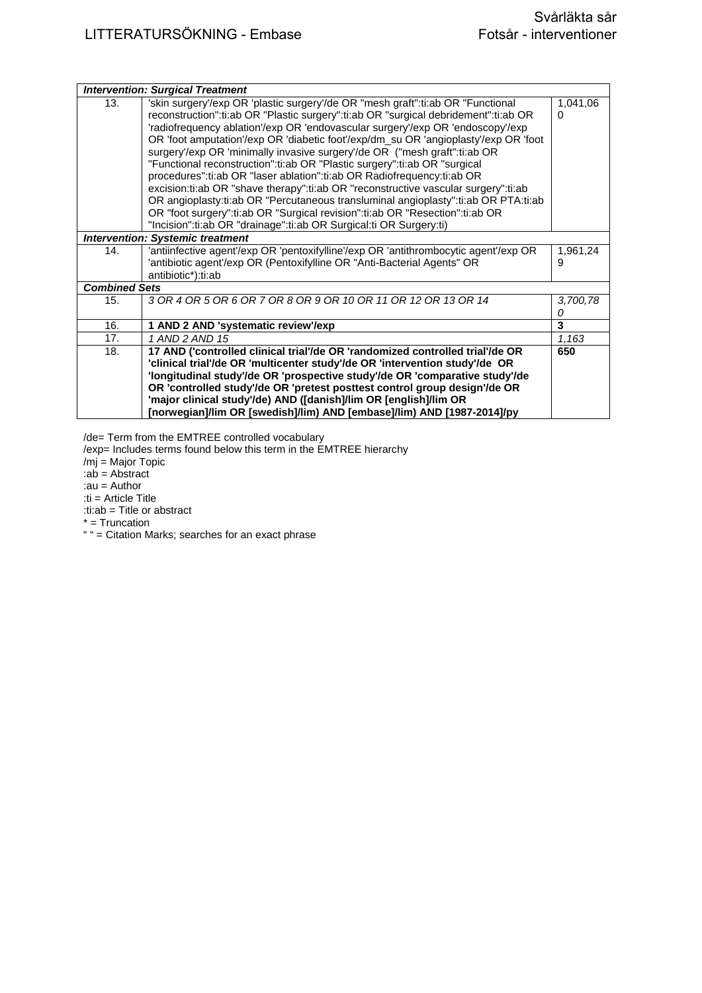|                      | <b>Intervention: Surgical Treatment</b>                                                                                                                                                                                                                                                                                                                                                                                                                                                                                                                                                                                                                                                                                                                                                                                                                                                                               |               |
|----------------------|-----------------------------------------------------------------------------------------------------------------------------------------------------------------------------------------------------------------------------------------------------------------------------------------------------------------------------------------------------------------------------------------------------------------------------------------------------------------------------------------------------------------------------------------------------------------------------------------------------------------------------------------------------------------------------------------------------------------------------------------------------------------------------------------------------------------------------------------------------------------------------------------------------------------------|---------------|
| 13.                  | 'skin surgery'/exp OR 'plastic surgery'/de OR "mesh graft":ti:ab OR "Functional<br>reconstruction":ti:ab OR "Plastic surgery":ti:ab OR "surgical debridement":ti:ab OR<br>'radiofrequency ablation'/exp OR 'endovascular surgery'/exp OR 'endoscopy'/exp<br>OR 'foot amputation'/exp OR 'diabetic foot'/exp/dm_su OR 'angioplasty'/exp OR 'foot<br>surgery'/exp OR 'minimally invasive surgery'/de OR ("mesh graft":ti:ab OR<br>"Functional reconstruction":ti:ab OR "Plastic surgery":ti:ab OR "surgical<br>procedures":ti:ab OR "laser ablation":ti:ab OR Radiofrequency:ti:ab OR<br>excision:ti:ab OR "shave therapy":ti:ab OR "reconstructive vascular surgery":ti:ab<br>OR angioplasty:ti:ab OR "Percutaneous transluminal angioplasty":ti:ab OR PTA:ti:ab<br>OR "foot surgery":ti:ab OR "Surgical revision":ti:ab OR "Resection":ti:ab OR<br>"Incision":ti:ab OR "drainage":ti:ab OR Surgical:ti OR Surgery:ti) | 1,041,06<br>0 |
|                      | <b>Intervention: Systemic treatment</b>                                                                                                                                                                                                                                                                                                                                                                                                                                                                                                                                                                                                                                                                                                                                                                                                                                                                               |               |
| 14.                  | 'antiinfective agent'/exp OR 'pentoxifylline'/exp OR 'antithrombocytic agent'/exp OR<br>'antibiotic agent'/exp OR (Pentoxifylline OR "Anti-Bacterial Agents" OR<br>antibiotic*):ti:ab                                                                                                                                                                                                                                                                                                                                                                                                                                                                                                                                                                                                                                                                                                                                 | 1,961,24<br>9 |
| <b>Combined Sets</b> |                                                                                                                                                                                                                                                                                                                                                                                                                                                                                                                                                                                                                                                                                                                                                                                                                                                                                                                       |               |
| 15.                  | 3 OR 4 OR 5 OR 6 OR 7 OR 8 OR 9 OR 10 OR 11 OR 12 OR 13 OR 14                                                                                                                                                                                                                                                                                                                                                                                                                                                                                                                                                                                                                                                                                                                                                                                                                                                         | 3,700,78<br>0 |
| 16.                  | 1 AND 2 AND 'systematic review'/exp                                                                                                                                                                                                                                                                                                                                                                                                                                                                                                                                                                                                                                                                                                                                                                                                                                                                                   | 3             |
| 17.                  | 1 AND 2 AND 15                                                                                                                                                                                                                                                                                                                                                                                                                                                                                                                                                                                                                                                                                                                                                                                                                                                                                                        | 1,163         |
| 18.                  | 17 AND ('controlled clinical trial'/de OR 'randomized controlled trial'/de OR<br>'clinical trial'/de OR 'multicenter study'/de OR 'intervention study'/de OR<br>'longitudinal study'/de OR 'prospective study'/de OR 'comparative study'/de<br>OR 'controlled study'/de OR 'pretest posttest control group design'/de OR<br>'major clinical study'/de) AND ([danish]/lim OR [english]/lim OR<br>[norwegian]/lim OR [swedish]/lim) AND [embase]/lim) AND [1987-2014]/py                                                                                                                                                                                                                                                                                                                                                                                                                                                | 650           |

/de= Term from the EMTREE controlled vocabulary

/exp= Includes terms found below this term in the EMTREE hierarchy

/mj = Major Topic

:ab = Abstract

:au = Author

:ti = Article Title

:ti:ab = Title or abstract

\* = Truncation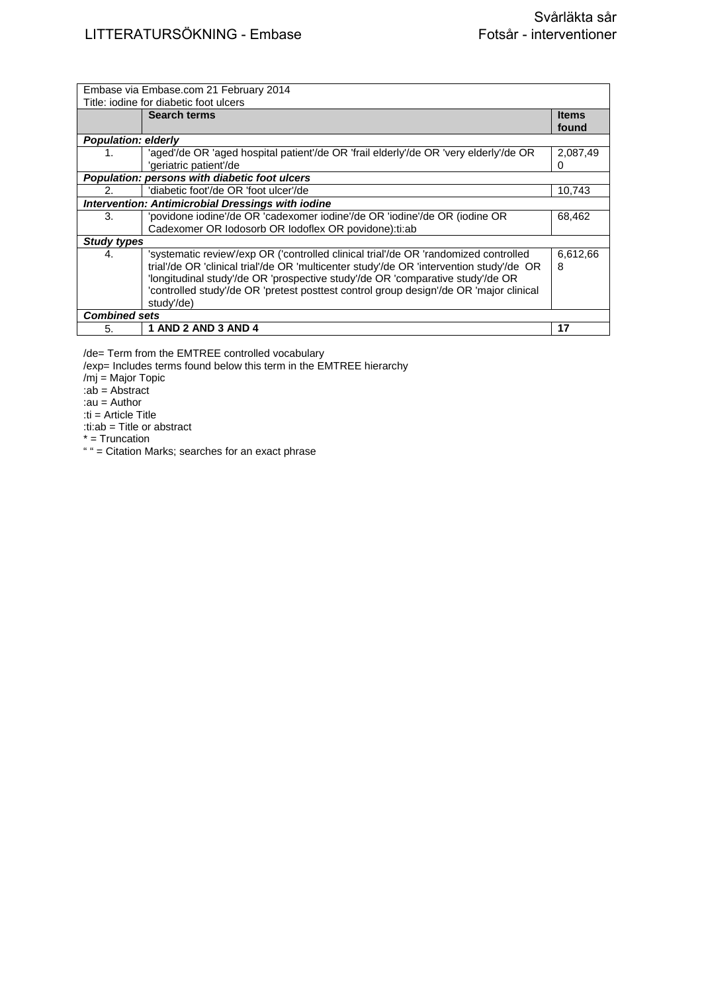|                            | Embase via Embase.com 21 February 2014<br>Title: jodine for diabetic foot ulcers                                                                                                                                                                                                                                                                                           |                       |
|----------------------------|----------------------------------------------------------------------------------------------------------------------------------------------------------------------------------------------------------------------------------------------------------------------------------------------------------------------------------------------------------------------------|-----------------------|
|                            | <b>Search terms</b>                                                                                                                                                                                                                                                                                                                                                        | <b>Items</b><br>found |
| <b>Population: elderly</b> |                                                                                                                                                                                                                                                                                                                                                                            |                       |
| 1.                         | 'aged'/de OR 'aged hospital patient'/de OR 'frail elderly'/de OR 'very elderly'/de OR<br>'geriatric patient'/de                                                                                                                                                                                                                                                            | 2,087,49<br>0         |
|                            | Population: persons with diabetic foot ulcers                                                                                                                                                                                                                                                                                                                              |                       |
| 2.                         | 'diabetic foot'/de OR 'foot ulcer'/de                                                                                                                                                                                                                                                                                                                                      | 10,743                |
|                            | <b>Intervention: Antimicrobial Dressings with iodine</b>                                                                                                                                                                                                                                                                                                                   |                       |
| 3.                         | 'povidone iodine'/de OR 'cadexomer iodine'/de OR 'iodine'/de OR (iodine OR                                                                                                                                                                                                                                                                                                 | 68,462                |
|                            | Cadexomer OR lodosorb OR lodoflex OR povidone): ti: ab                                                                                                                                                                                                                                                                                                                     |                       |
| <b>Study types</b>         |                                                                                                                                                                                                                                                                                                                                                                            |                       |
| 4.                         | 'systematic review'/exp OR ('controlled clinical trial'/de OR 'randomized controlled<br>trial'/de OR 'clinical trial'/de OR 'multicenter study'/de OR 'intervention study'/de OR<br>'longitudinal study'/de OR 'prospective study'/de OR 'comparative study'/de OR<br>'controlled study'/de OR 'pretest posttest control group design'/de OR 'major clinical<br>study'/de) | 6,612,66<br>8         |
| <b>Combined sets</b>       |                                                                                                                                                                                                                                                                                                                                                                            |                       |
| 5.                         | 1 AND 2 AND 3 AND 4                                                                                                                                                                                                                                                                                                                                                        | 17                    |

/de= Term from the EMTREE controlled vocabulary

/exp= Includes terms found below this term in the EMTREE hierarchy

/mj = Major Topic

:ab = Abstract

:au = Author

:ti = Article Title

:ti:ab = Title or abstract

\* = Truncation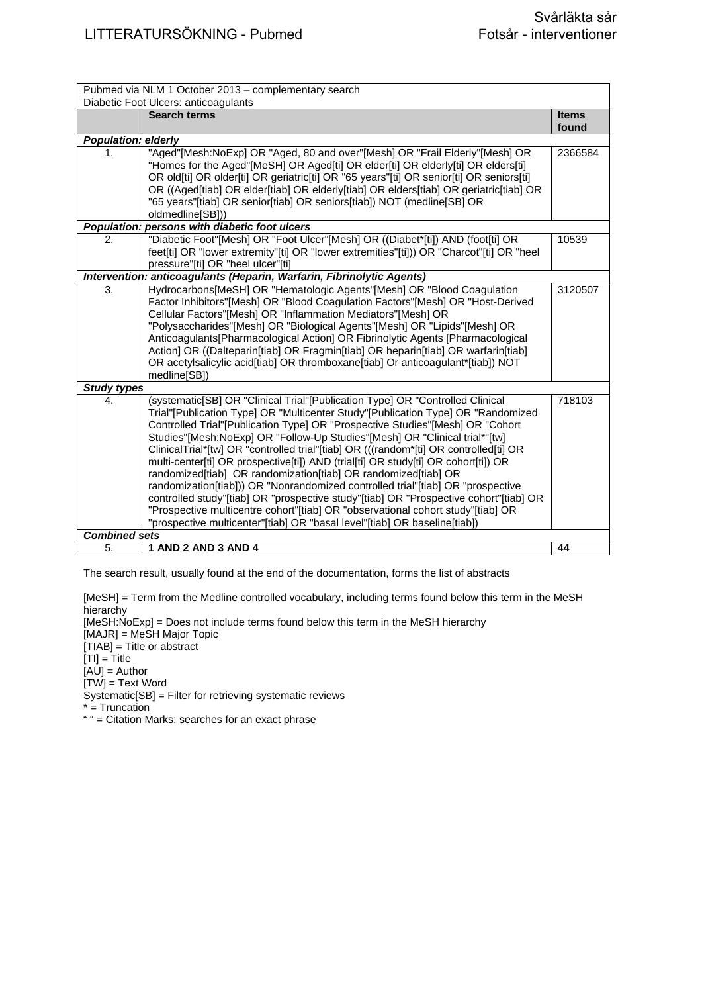| Pubmed via NLM 1 October 2013 - complementary search |                                                                                                                                                                                                                                                                                                                                                                                                                                                                                                                                                                                                                                                                                                                                                                                                                                                                                                                                 |                       |
|------------------------------------------------------|---------------------------------------------------------------------------------------------------------------------------------------------------------------------------------------------------------------------------------------------------------------------------------------------------------------------------------------------------------------------------------------------------------------------------------------------------------------------------------------------------------------------------------------------------------------------------------------------------------------------------------------------------------------------------------------------------------------------------------------------------------------------------------------------------------------------------------------------------------------------------------------------------------------------------------|-----------------------|
|                                                      | Diabetic Foot Ulcers: anticoagulants                                                                                                                                                                                                                                                                                                                                                                                                                                                                                                                                                                                                                                                                                                                                                                                                                                                                                            |                       |
|                                                      | <b>Search terms</b>                                                                                                                                                                                                                                                                                                                                                                                                                                                                                                                                                                                                                                                                                                                                                                                                                                                                                                             | <b>Items</b><br>found |
| <b>Population: elderly</b>                           |                                                                                                                                                                                                                                                                                                                                                                                                                                                                                                                                                                                                                                                                                                                                                                                                                                                                                                                                 |                       |
| 1.                                                   | "Aged"[Mesh:NoExp] OR "Aged, 80 and over"[Mesh] OR "Frail Elderly"[Mesh] OR<br>"Homes for the Aged"[MeSH] OR Aged[ti] OR elder[ti] OR elderly[ti] OR elders[ti]<br>OR old[ti] OR older[ti] OR geriatric[ti] OR "65 years"[ti] OR senior[ti] OR seniors[ti]<br>OR ((Aged[tiab] OR elder[tiab] OR elderly[tiab] OR elders[tiab] OR geriatric[tiab] OR<br>"65 years"[tiab] OR senior[tiab] OR seniors[tiab]) NOT (medline[SB] OR<br>oldmedline[SB]))                                                                                                                                                                                                                                                                                                                                                                                                                                                                               | 2366584               |
|                                                      | Population: persons with diabetic foot ulcers                                                                                                                                                                                                                                                                                                                                                                                                                                                                                                                                                                                                                                                                                                                                                                                                                                                                                   |                       |
| 2.                                                   | "Diabetic Foot"[Mesh] OR "Foot Ulcer"[Mesh] OR ((Diabet*[ti]) AND (foot[ti] OR<br>feet[ti] OR "lower extremity"[ti] OR "lower extremities"[ti])) OR "Charcot"[ti] OR "heel<br>pressure"[ti] OR "heel ulcer"[ti]                                                                                                                                                                                                                                                                                                                                                                                                                                                                                                                                                                                                                                                                                                                 | 10539                 |
|                                                      | Intervention: anticoagulants (Heparin, Warfarin, Fibrinolytic Agents)                                                                                                                                                                                                                                                                                                                                                                                                                                                                                                                                                                                                                                                                                                                                                                                                                                                           |                       |
| 3.                                                   | Hydrocarbons[MeSH] OR "Hematologic Agents"[Mesh] OR "Blood Coagulation<br>Factor Inhibitors"[Mesh] OR "Blood Coagulation Factors"[Mesh] OR "Host-Derived<br>Cellular Factors"[Mesh] OR "Inflammation Mediators"[Mesh] OR<br>"Polysaccharides"[Mesh] OR "Biological Agents"[Mesh] OR "Lipids"[Mesh] OR<br>Anticoagulants[Pharmacological Action] OR Fibrinolytic Agents [Pharmacological<br>Action] OR ((Dalteparin[tiab] OR Fragmin[tiab] OR heparin[tiab] OR warfarin[tiab]<br>OR acetylsalicylic acid[tiab] OR thromboxane[tiab] Or anticoagulant*[tiab]) NOT<br>medline[SB])                                                                                                                                                                                                                                                                                                                                                 | 3120507               |
| <b>Study types</b>                                   |                                                                                                                                                                                                                                                                                                                                                                                                                                                                                                                                                                                                                                                                                                                                                                                                                                                                                                                                 |                       |
| 4.<br><b>Combined sets</b>                           | (systematic [SB] OR "Clinical Trial" [Publication Type] OR "Controlled Clinical<br>Trial"[Publication Type] OR "Multicenter Study"[Publication Type] OR "Randomized<br>Controlled Trial"[Publication Type] OR "Prospective Studies"[Mesh] OR "Cohort<br>Studies"[Mesh:NoExp] OR "Follow-Up Studies"[Mesh] OR "Clinical trial*"[tw]<br>ClinicalTrial*[tw] OR "controlled trial"[tiab] OR (((random*[ti] OR controlled[ti] OR<br>multi-center[ti] OR prospective[ti]) AND (trial[ti] OR study[ti] OR cohort[ti]) OR<br>randomized[tiab] OR randomization[tiab] OR randomized[tiab] OR<br>randomization[tiab])) OR "Nonrandomized controlled trial"[tiab] OR "prospective<br>controlled study"[tiab] OR "prospective study"[tiab] OR "Prospective cohort"[tiab] OR<br>"Prospective multicentre cohort"[tiab] OR "observational cohort study"[tiab] OR<br>"prospective multicenter"[tiab] OR "basal level"[tiab] OR baseline[tiab]) | 718103                |
| 5.                                                   | 1 AND 2 AND 3 AND 4                                                                                                                                                                                                                                                                                                                                                                                                                                                                                                                                                                                                                                                                                                                                                                                                                                                                                                             | 44                    |
|                                                      |                                                                                                                                                                                                                                                                                                                                                                                                                                                                                                                                                                                                                                                                                                                                                                                                                                                                                                                                 |                       |

[MeSH] = Term from the Medline controlled vocabulary, including terms found below this term in the MeSH hierarchy

[MeSH:NoExp] = Does not include terms found below this term in the MeSH hierarchy [MAJR] = MeSH Major Topic [TIAB] = Title or abstract  $[TI] = Title$  $[AJ] =$  Author [TW] = Text Word Systematic[SB] = Filter for retrieving systematic reviews \* = Truncation " " = Citation Marks; searches for an exact phrase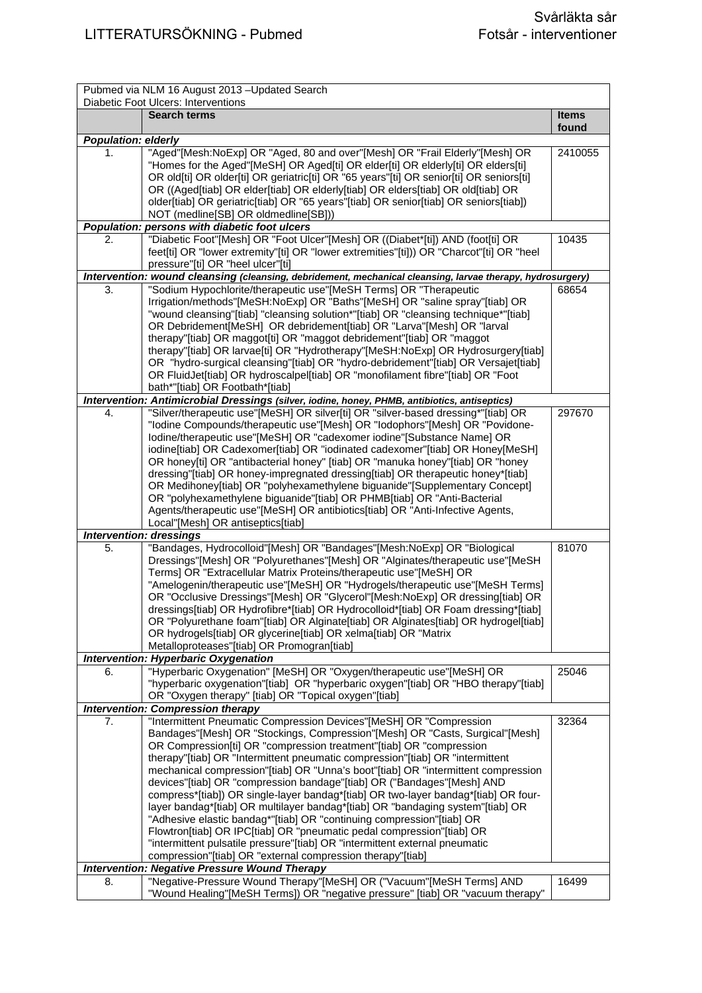|                            | Pubmed via NLM 16 August 2013 - Updated Search<br>Diabetic Foot Ulcers: Interventions                                                                                |              |
|----------------------------|----------------------------------------------------------------------------------------------------------------------------------------------------------------------|--------------|
|                            | <b>Search terms</b>                                                                                                                                                  | <b>Items</b> |
|                            |                                                                                                                                                                      | found        |
| <b>Population: elderly</b> |                                                                                                                                                                      |              |
| 1.                         | "Aged"[Mesh:NoExp] OR "Aged, 80 and over"[Mesh] OR "Frail Elderly"[Mesh] OR<br>"Homes for the Aged"[MeSH] OR Aged[ti] OR elder[ti] OR elderly[ti] OR elders[ti]      | 2410055      |
|                            | OR old[ti] OR older[ti] OR geriatric[ti] OR "65 years"[ti] OR senior[ti] OR seniors[ti]                                                                              |              |
|                            | OR ((Aged[tiab] OR elder[tiab] OR elderly[tiab] OR elders[tiab] OR old[tiab] OR                                                                                      |              |
|                            | older[tiab] OR geriatric[tiab] OR "65 years"[tiab] OR senior[tiab] OR seniors[tiab])                                                                                 |              |
|                            | NOT (medline[SB] OR oldmedline[SB]))                                                                                                                                 |              |
| <b>Population:</b>         | persons with diabetic foot ulcers                                                                                                                                    |              |
| 2.                         | "Diabetic Foot"[Mesh] OR "Foot Ulcer"[Mesh] OR ((Diabet*[ti]) AND (foot[ti] OR                                                                                       | 10435        |
|                            | feet[ti] OR "lower extremity"[ti] OR "lower extremities"[ti])) OR "Charcot"[ti] OR "heel                                                                             |              |
|                            | pressure"[ti] OR "heel ulcer"[ti]                                                                                                                                    |              |
|                            | Intervention: wound cleansing (cleansing, debridement, mechanical cleansing, larvae therapy, hydrosurgery)                                                           |              |
| 3.                         | "Sodium Hypochlorite/therapeutic use"[MeSH Terms] OR "Therapeutic                                                                                                    | 68654        |
|                            | Irrigation/methods"[MeSH:NoExp] OR "Baths"[MeSH] OR "saline spray"[tiab] OR                                                                                          |              |
|                            | "wound cleansing"[tiab] "cleansing solution*"[tiab] OR "cleansing technique*"[tiab]                                                                                  |              |
|                            | OR Debridement[MeSH] OR debridement[tiab] OR "Larva"[Mesh] OR "larval                                                                                                |              |
|                            | therapy"[tiab] OR maggot[ti] OR "maggot debridement"[tiab] OR "maggot                                                                                                |              |
|                            | therapy"[tiab] OR larvae[ti] OR "Hydrotherapy"[MeSH:NoExp] OR Hydrosurgery[tiab]                                                                                     |              |
|                            | OR "hydro-surgical cleansing"[tiab] OR "hydro-debridement"[tiab] OR Versajet[tiab]<br>OR FluidJet[tiab] OR hydroscalpel[tiab] OR "monofilament fibre"[tiab] OR "Foot |              |
|                            | bath*"[tiab] OR Footbath*[tiab]                                                                                                                                      |              |
|                            | Intervention: Antimicrobial Dressings (silver, iodine, honey, PHMB, antibiotics, antiseptics)                                                                        |              |
| 4.                         | "Silver/therapeutic use"[MeSH] OR silver[ti] OR "silver-based dressing*"[tiab] OR                                                                                    | 297670       |
|                            | "Iodine Compounds/therapeutic use"[Mesh] OR "Iodophors"[Mesh] OR "Povidone-                                                                                          |              |
|                            | Iodine/therapeutic use"[MeSH] OR "cadexomer iodine"[Substance Name] OR                                                                                               |              |
|                            | iodine[tiab] OR Cadexomer[tiab] OR "iodinated cadexomer"[tiab] OR Honey[MeSH]                                                                                        |              |
|                            | OR honey[ti] OR "antibacterial honey" [tiab] OR "manuka honey"[tiab] OR "honey                                                                                       |              |
|                            | dressing"[tiab] OR honey-impregnated dressing[tiab] OR therapeutic honey*[tiab]                                                                                      |              |
|                            | OR Medihoney[tiab] OR "polyhexamethylene biguanide"[Supplementary Concept]                                                                                           |              |
|                            | OR "polyhexamethylene biguanide"[tiab] OR PHMB[tiab] OR "Anti-Bacterial                                                                                              |              |
|                            | Agents/therapeutic use"[MeSH] OR antibiotics[tiab] OR "Anti-Infective Agents,                                                                                        |              |
|                            | Local"[Mesh] OR antiseptics[tiab]<br><b>Intervention: dressings</b>                                                                                                  |              |
| 5.                         | "Bandages, Hydrocolloid"[Mesh] OR "Bandages"[Mesh:NoExp] OR "Biological                                                                                              | 81070        |
|                            | Dressings"[Mesh] OR "Polyurethanes"[Mesh] OR "Alginates/therapeutic use"[MeSH                                                                                        |              |
|                            | Terms] OR "Extracellular Matrix Proteins/therapeutic use"[MeSH] OR                                                                                                   |              |
|                            | "Amelogenin/therapeutic use"[MeSH] OR "Hydrogels/therapeutic use"[MeSH Terms]                                                                                        |              |
|                            | OR "Occlusive Dressings"[Mesh] OR "Glycerol"[Mesh:NoExp] OR dressing[tiab] OR                                                                                        |              |
|                            | dressings[tiab] OR Hydrofibre*[tiab] OR Hydrocolloid*[tiab] OR Foam dressing*[tiab]                                                                                  |              |
|                            | OR "Polyurethane foam"[tiab] OR Alginate[tiab] OR Alginates[tiab] OR hydrogel[tiab]                                                                                  |              |
|                            | OR hydrogels[tiab] OR glycerine[tiab] OR xelma[tiab] OR "Matrix                                                                                                      |              |
|                            | Metalloproteases"[tiab] OR Promogran[tiab]                                                                                                                           |              |
| 6.                         | <b>Intervention: Hyperbaric Oxygenation</b><br>"Hyperbaric Oxygenation" [MeSH] OR "Oxygen/therapeutic use"[MeSH] OR                                                  | 25046        |
|                            | "hyperbaric oxygenation"[tiab] OR "hyperbaric oxygen"[tiab] OR "HBO therapy"[tiab]                                                                                   |              |
|                            | OR "Oxygen therapy" [tiab] OR "Topical oxygen"[tiab]                                                                                                                 |              |
|                            | <b>Intervention: Compression therapy</b>                                                                                                                             |              |
| 7.                         | "Intermittent Pneumatic Compression Devices"[MeSH] OR "Compression                                                                                                   | 32364        |
|                            | Bandages"[Mesh] OR "Stockings, Compression"[Mesh] OR "Casts, Surgical"[Mesh]                                                                                         |              |
|                            | OR Compression[ti] OR "compression treatment"[tiab] OR "compression                                                                                                  |              |
|                            | therapy"[tiab] OR "Intermittent pneumatic compression"[tiab] OR "intermittent                                                                                        |              |
|                            | mechanical compression"[tiab] OR "Unna's boot"[tiab] OR "intermittent compression                                                                                    |              |
|                            | devices"[tiab] OR "compression bandage"[tiab] OR ("Bandages"[Mesh] AND                                                                                               |              |
|                            | compress*[tiab]) OR single-layer bandag*[tiab] OR two-layer bandag*[tiab] OR four-                                                                                   |              |
|                            | layer bandag*[tiab] OR multilayer bandag*[tiab] OR "bandaging system"[tiab] OR                                                                                       |              |
|                            | "Adhesive elastic bandag*"[tiab] OR "continuing compression"[tiab] OR<br>Flowtron[tiab] OR IPC[tiab] OR "pneumatic pedal compression"[tiab] OR                       |              |
|                            | "intermittent pulsatile pressure"[tiab] OR "intermittent external pneumatic                                                                                          |              |
|                            | compression"[tiab] OR "external compression therapy"[tiab]                                                                                                           |              |
|                            | <b>Intervention: Negative Pressure Wound Therapy</b>                                                                                                                 |              |
| 8.                         | "Negative-Pressure Wound Therapy"[MeSH] OR ("Vacuum"[MeSH Terms] AND                                                                                                 | 16499        |
|                            | "Wound Healing"[MeSH Terms]) OR "negative pressure" [tiab] OR "vacuum therapy"                                                                                       |              |
|                            |                                                                                                                                                                      |              |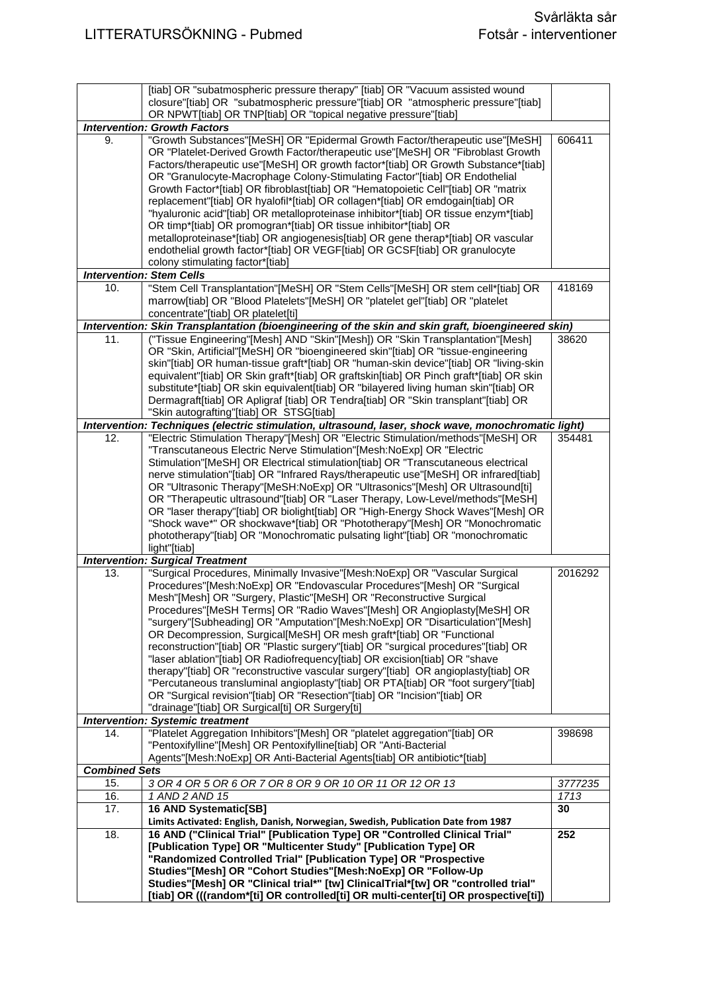|                                         | [tiab] OR "subatmospheric pressure therapy" [tiab] OR "Vacuum assisted wound                        |         |
|-----------------------------------------|-----------------------------------------------------------------------------------------------------|---------|
|                                         | closure"[tiab] OR "subatmospheric pressure"[tiab] OR "atmospheric pressure"[tiab]                   |         |
|                                         | OR NPWT[tiab] OR TNP[tiab] OR "topical negative pressure"[tiab]                                     |         |
|                                         | <b>Intervention: Growth Factors</b>                                                                 |         |
| 9.                                      | "Growth Substances"[MeSH] OR "Epidermal Growth Factor/therapeutic use"[MeSH]                        | 606411  |
|                                         | OR "Platelet-Derived Growth Factor/therapeutic use"[MeSH] OR "Fibroblast Growth                     |         |
|                                         | Factors/therapeutic use"[MeSH] OR growth factor*[tiab] OR Growth Substance*[tiab]                   |         |
|                                         | OR "Granulocyte-Macrophage Colony-Stimulating Factor"[tiab] OR Endothelial                          |         |
|                                         | Growth Factor*[tiab] OR fibroblast[tiab] OR "Hematopoietic Cell"[tiab] OR "matrix                   |         |
|                                         | replacement"[tiab] OR hyalofil*[tiab] OR collagen*[tiab] OR emdogain[tiab] OR                       |         |
|                                         | "hyaluronic acid"[tiab] OR metalloproteinase inhibitor*[tiab] OR tissue enzym*[tiab]                |         |
|                                         | OR timp*[tiab] OR promogran*[tiab] OR tissue inhibitor*[tiab] OR                                    |         |
|                                         | metalloproteinase*[tiab] OR angiogenesis[tiab] OR gene therap*[tiab] OR vascular                    |         |
|                                         | endothelial growth factor*[tiab] OR VEGF[tiab] OR GCSF[tiab] OR granulocyte                         |         |
|                                         | colony stimulating factor*[tiab]                                                                    |         |
|                                         | <b>Intervention: Stem Cells</b>                                                                     |         |
| 10.                                     | "Stem Cell Transplantation"[MeSH] OR "Stem Cells"[MeSH] OR stem cell*[tiab] OR                      | 418169  |
|                                         |                                                                                                     |         |
|                                         | marrow[tiab] OR "Blood Platelets"[MeSH] OR "platelet gel"[tiab] OR "platelet                        |         |
|                                         | concentrate"[tiab] OR platelet[ti]                                                                  |         |
|                                         | Intervention: Skin Transplantation (bioengineering of the skin and skin graft, bioengineered skin)  |         |
| 11.                                     | ("Tissue Engineering"[Mesh] AND "Skin"[Mesh]) OR "Skin Transplantation"[Mesh]                       | 38620   |
|                                         | OR "Skin, Artificial"[MeSH] OR "bioengineered skin"[tiab] OR "tissue-engineering                    |         |
|                                         | skin"[tiab] OR human-tissue graft*[tiab] OR "human-skin device"[tiab] OR "living-skin               |         |
|                                         | equivalent"[tiab] OR Skin graft*[tiab] OR graftskin[tiab] OR Pinch graft*[tiab] OR skin             |         |
|                                         | substitute*[tiab] OR skin equivalent[tiab] OR "bilayered living human skin"[tiab] OR                |         |
|                                         | Dermagraft[tiab] OR Apligraf [tiab] OR Tendra[tiab] OR "Skin transplant"[tiab] OR                   |         |
|                                         | "Skin autografting"[tiab] OR STSG[tiab]                                                             |         |
|                                         | Intervention: Techniques (electric stimulation, ultrasound, laser, shock wave, monochromatic light) |         |
| 12.                                     | "Electric Stimulation Therapy"[Mesh] OR "Electric Stimulation/methods"[MeSH] OR                     | 354481  |
|                                         | "Transcutaneous Electric Nerve Stimulation"[Mesh:NoExp] OR "Electric                                |         |
|                                         | Stimulation"[MeSH] OR Electrical stimulation[tiab] OR "Transcutaneous electrical                    |         |
|                                         | nerve stimulation"[tiab] OR "Infrared Rays/therapeutic use"[MeSH] OR infrared[tiab]                 |         |
|                                         | OR "Ultrasonic Therapy"[MeSH:NoExp] OR "Ultrasonics"[Mesh] OR Ultrasound[ti]                        |         |
|                                         | OR "Therapeutic ultrasound"[tiab] OR "Laser Therapy, Low-Level/methods"[MeSH]                       |         |
|                                         | OR "laser therapy"[tiab] OR biolight[tiab] OR "High-Energy Shock Waves"[Mesh] OR                    |         |
|                                         | "Shock wave*" OR shockwave*[tiab] OR "Phototherapy"[Mesh] OR "Monochromatic                         |         |
|                                         | phototherapy"[tiab] OR "Monochromatic pulsating light"[tiab] OR "monochromatic                      |         |
|                                         | light"[tiab]                                                                                        |         |
|                                         | <b>Intervention: Surgical Treatment</b>                                                             |         |
| 13.                                     | "Surgical Procedures, Minimally Invasive"[Mesh:NoExp] OR "Vascular Surgical                         | 2016292 |
|                                         | Procedures"[Mesh:NoExp] OR "Endovascular Procedures"[Mesh] OR "Surgical                             |         |
|                                         | Mesh"[Mesh] OR "Surgery, Plastic"[MeSH] OR "Reconstructive Surgical                                 |         |
|                                         | Procedures"[MeSH Terms] OR "Radio Waves"[Mesh] OR Angioplasty[MeSH] OR                              |         |
|                                         | "surgery"[Subheading] OR "Amputation"[Mesh:NoExp] OR "Disarticulation"[Mesh]                        |         |
|                                         | OR Decompression, Surgical[MeSH] OR mesh graft*[tiab] OR "Functional                                |         |
|                                         | reconstruction"[tiab] OR "Plastic surgery"[tiab] OR "surgical procedures"[tiab] OR                  |         |
|                                         | "laser ablation"[tiab] OR Radiofrequency[tiab] OR excision[tiab] OR "shave                          |         |
|                                         | therapy"[tiab] OR "reconstructive vascular surgery"[tiab] OR angioplasty[tiab] OR                   |         |
|                                         | "Percutaneous transluminal angioplasty"[tiab] OR PTA[tiab] OR "foot surgery"[tiab]                  |         |
|                                         | OR "Surgical revision"[tiab] OR "Resection"[tiab] OR "Incision"[tiab] OR                            |         |
|                                         | "drainage"[tiab] OR Surgical[ti] OR Surgery[ti]                                                     |         |
|                                         |                                                                                                     |         |
| <b>Intervention: Systemic treatment</b> |                                                                                                     |         |
| 14.                                     | "Platelet Aggregation Inhibitors"[Mesh] OR "platelet aggregation"[tiab] OR                          | 398698  |
|                                         | "Pentoxifylline"[Mesh] OR Pentoxifylline[tiab] OR "Anti-Bacterial                                   |         |
|                                         | Agents"[Mesh:NoExp] OR Anti-Bacterial Agents[tiab] OR antibiotic*[tiab]                             |         |
| <b>Combined Sets</b>                    |                                                                                                     |         |
| 15.                                     | 3 OR 4 OR 5 OR 6 OR 7 OR 8 OR 9 OR 10 OR 11 OR 12 OR 13                                             | 3777235 |
| 16.                                     | 1 AND 2 AND 15                                                                                      | 1713    |
| 17.                                     | 16 AND Systematic[SB]                                                                               | 30      |
|                                         | Limits Activated: English, Danish, Norwegian, Swedish, Publication Date from 1987                   |         |
| 18.                                     | 16 AND ("Clinical Trial" [Publication Type] OR "Controlled Clinical Trial"                          | 252     |
|                                         | [Publication Type] OR "Multicenter Study" [Publication Type] OR                                     |         |
|                                         | "Randomized Controlled Trial" [Publication Type] OR "Prospective                                    |         |
|                                         | Studies"[Mesh] OR "Cohort Studies"[Mesh:NoExp] OR "Follow-Up                                        |         |
|                                         | Studies"[Mesh] OR "Clinical trial*" [tw] ClinicalTrial*[tw] OR "controlled trial"                   |         |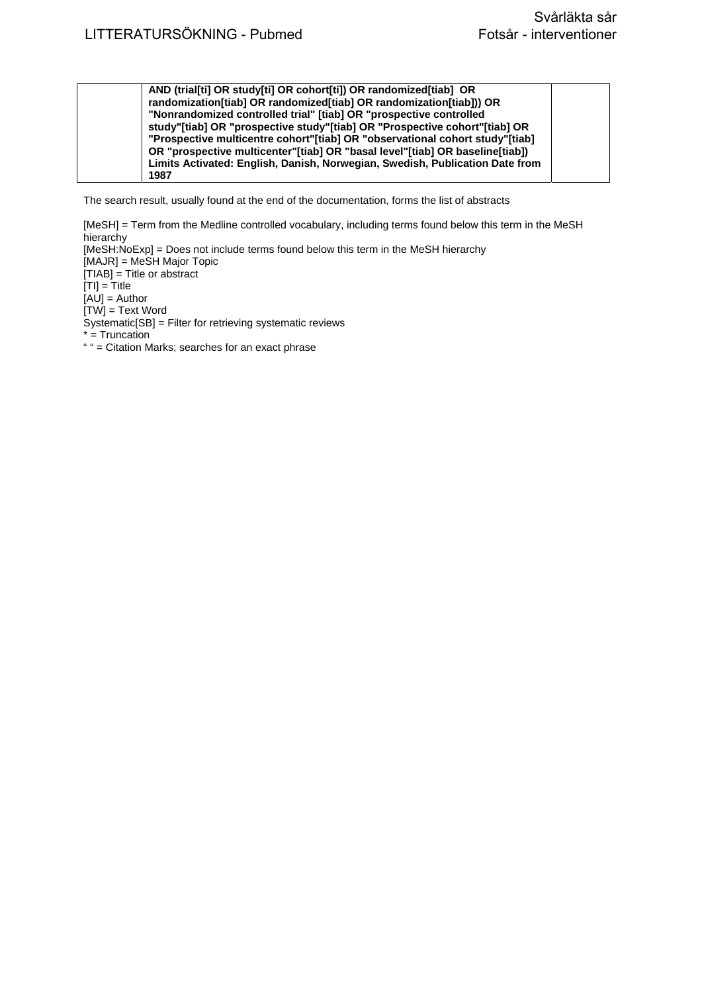| AND (trial[ti] OR study[ti] OR cohort[ti]) OR randomized[tiab] OR            |  |
|------------------------------------------------------------------------------|--|
| randomization[tiab] OR randomized[tiab] OR randomization[tiab])) OR          |  |
| "Nonrandomized controlled trial" [tiab] OR "prospective controlled           |  |
| study"[tiab] OR "prospective study"[tiab] OR "Prospective cohort"[tiab] OR   |  |
| "Prospective multicentre cohort"[tiab] OR "observational cohort study"[tiab] |  |
| OR "prospective multicenter"[tiab] OR "basal level"[tiab] OR baseline[tiab]) |  |
| Limits Activated: English, Danish, Norwegian, Swedish, Publication Date from |  |
| 1987                                                                         |  |
|                                                                              |  |

[MeSH] = Term from the Medline controlled vocabulary, including terms found below this term in the MeSH hierarchy [MeSH:NoExp] = Does not include terms found below this term in the MeSH hierarchy [MAJR] = MeSH Major Topic  $[TIAB] = Title or abstract$  $[TI] = T$ itle [AU] = Author [TW] = Text Word Systematic[SB] = Filter for retrieving systematic reviews \* = Truncation " " = Citation Marks; searches for an exact phrase